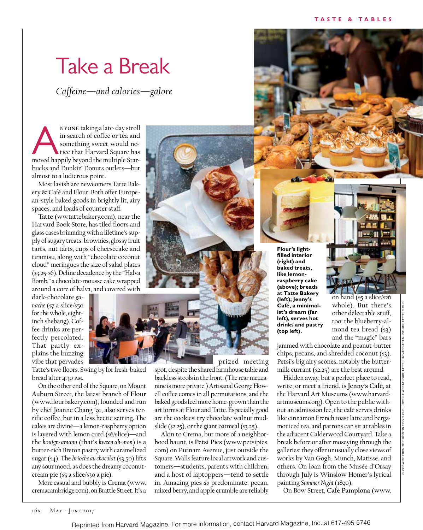## Take a Break

*Caffeine—and calories—galore*

ANYONE taking a late-day stroll<br>
in search of coffee or tea and<br>
something sweet would no-<br>
tice that Harvard Square has<br>
moved happily beyond the multiple Starin search of coffee or tea and something sweet would notice that Harvard Square has bucks and Dunkin' Donuts outlets—but almost to a ludicrous point.

Most lavish are newcomers Tatte Bakery & Café and Flour. Both offer European-style baked goods in brightly lit, airy spaces, and loads of counter staff.

**Tatte** (ww.tattebakery.com), near the Harvard Book Store, has tiled floors and glass cases brimming with a lifetime's supply of sugary treats: brownies, glossy fruit tarts, nut tarts, cups of cheesecake and tiramisu, along with "chocolate coconut cloud" meringues the size of salad plates (\$3.25-\$6). Define decadence by the "Halva Bomb," a chocolate-mousse cake wrapped around a core of halva, and covered with

dark-chocolate *ganache* (\$7 a slice/\$50 for the whole, eightinch shebang). Coffee drinks are perfectly percolated. That partly explains the buzzing vibe that pervades

Tatte's two floors. Swing by for fresh-baked bread after 4:30 p.m.

On the other end of the Square, on Mount Auburn Street, the latest branch of **Flour**  (www.flourbakery.com), founded and run by chef Joanne Chang '91, also serves terrific coffee, but in a less hectic setting. The cakes are divine—a lemon-raspberry option is layered with lemon curd (\$6/slice)—and the *kouign-amann* (that's *kween ah-mon*) is a butter-rich Breton pastry with caramelized sugar (\$4). The *brioche au chocolat* (\$3.50) lifts any sour mood, as does the dreamy coconutcream pie (\$5 a slice/\$30 a pie).

More casual and bubbly is **Crema (**www. cremacambridge.com), on Brattle Street. It's a

prized meeting

spot, despite the shared farmhouse table and backless stools in the front. (The rear mezzanine is more private.) Artisanal George Howell coffee comes in all permutations, and the baked goods feel more home-grown than the art forms at Flour and Tatte. Especially good are the cookies: try chocolate walnut mudslide ( $$2.25$ ), or the giant oatmeal ( $$3.25$ ).

Akin to Crema, but more of a neighborhood haunt, is **Petsi Pies** (www.petsipies. com) on Putnam Avenue, just outside the Square. Walls feature local artwork and customers—students, parents with children, and a host of laptoppers—tend to settle in. Amazing pies *do* predominate: pecan, mixed berry, and apple crumble are reliably

**Flour's lightfilled interior (right) and baked treats, like lemonraspberry cake (above); breads at Tatte Bakery (left); Jenny's Café, a minimalist's dream (far left), serves hot drinks and pastry (top left).**

on hand (\$5 a slice/\$26 whole). But there's other delectable stuff, too: the blueberry-almond tea bread (\$3) and the "magic" bars

jammed with chocolate and peanut-butter chips, pecans, and shredded coconut (\$3). Petsi's big airy scones, notably the buttermilk currant (\$2.25) are the best around.

Hidden away, but a perfect place to read, write, or meet a friend, is **Jenny's Café,** at the Harvard Art Museums (www.harvardartmuseums.org). Open to the public without an admission fee, the café serves drinks like cinnamon French toast latte and bergamot iced tea, and patrons can sit at tables in the adjacent Calderwood Courtyard. Take a break before or after moseying through the galleries: they offer unusually close views of works by Van Gogh, Munch, Matisse, and others. On loan from the Musée d'Orsay through July is Winslow Homer's lyrical painting *Summer Night* (1890).

On Bow Street, **Café Pamplona** (www.